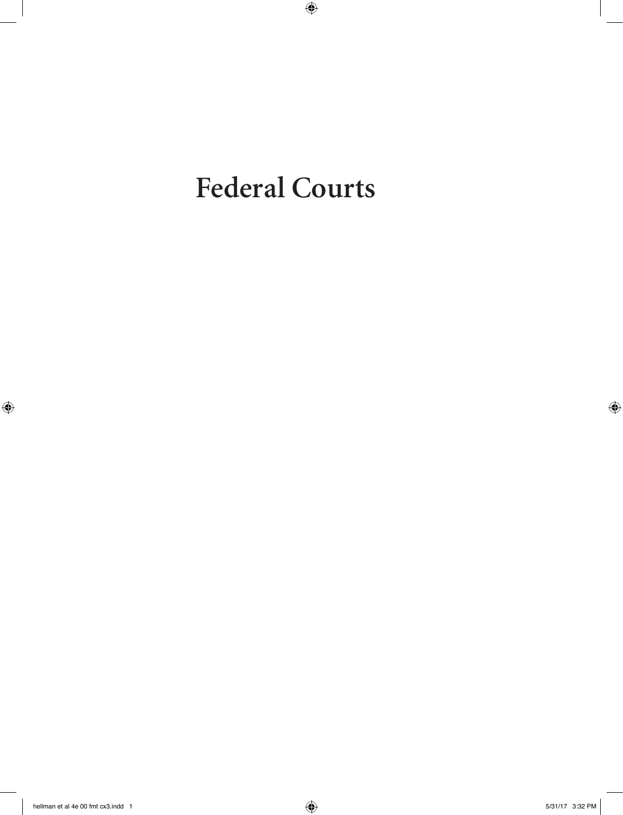# **Federal Courts**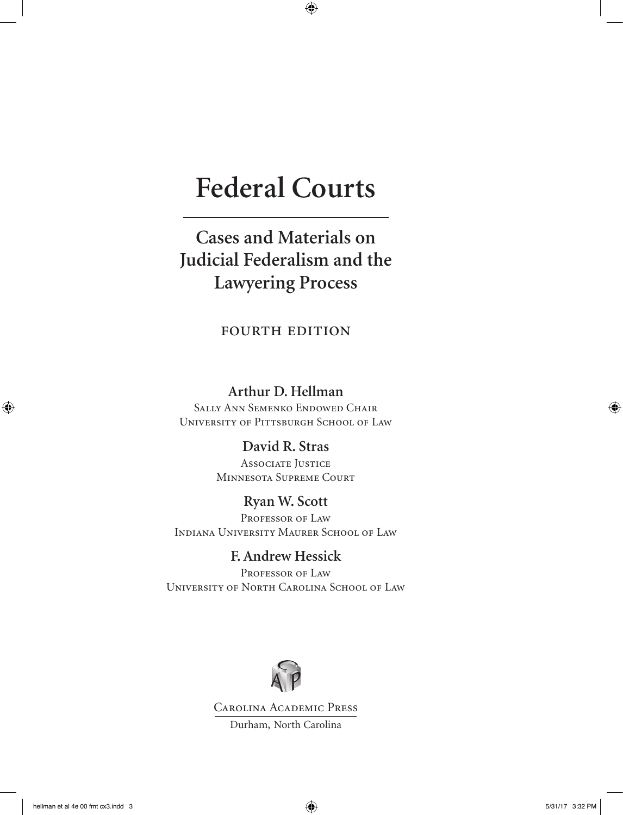## **Federal Courts**

### **Cases and Materials on Judicial Federalism and the Lawyering Process**

#### FOURTH EDITION

#### **Arthur D. Hellman**

Sally Ann Semenko Endowed Chair University of Pittsburgh School of Law

#### **David R. Stras**

Associate Justice Minnesota Supreme Court

**Ryan W. Scott** PROFESSOR OF LAW Indiana University Maurer School of Law

#### **F. Andrew Hessick**

PROFESSOR OF LAW University of North Carolina School of Law



Carolina Academic Press

Durham, North Carolina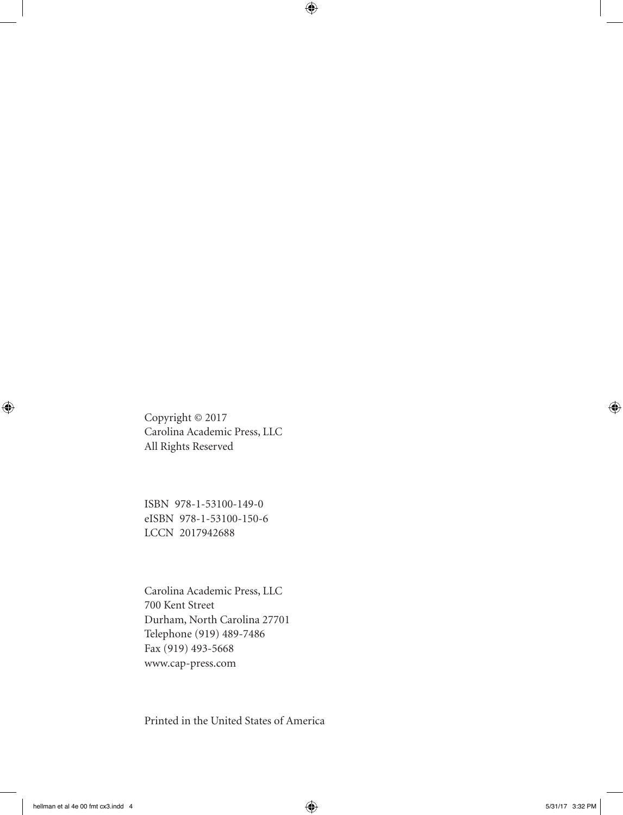Copyright © 2017 Carolina Academic Press, LLC All Rights Reserved

ISBN 978-1-53100-149-0 eISBN 978-1-53100-150-6 LCCN 2017942688

Carolina Academic Press, LLC 700 Kent Street Durham, North Carolina 27701 Telephone (919) 489-7486 Fax (919) 493-5668 www.cap-press.com

Printed in the United States of America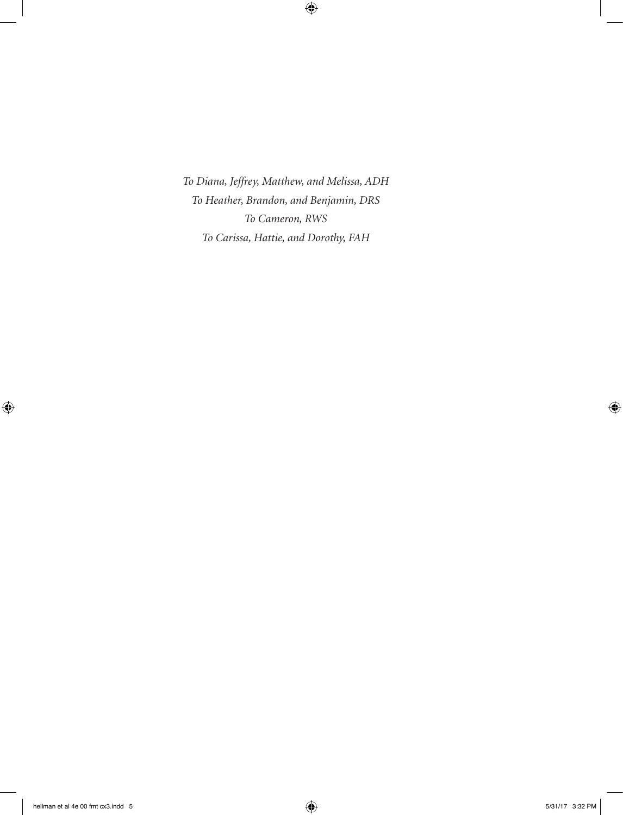*To Diana, Jeffrey, Matthew, and Melissa, ADH To Heather, Brandon, and Benjamin, DRS To Cameron, RWS To Carissa, Hattie, and Dorothy, FAH*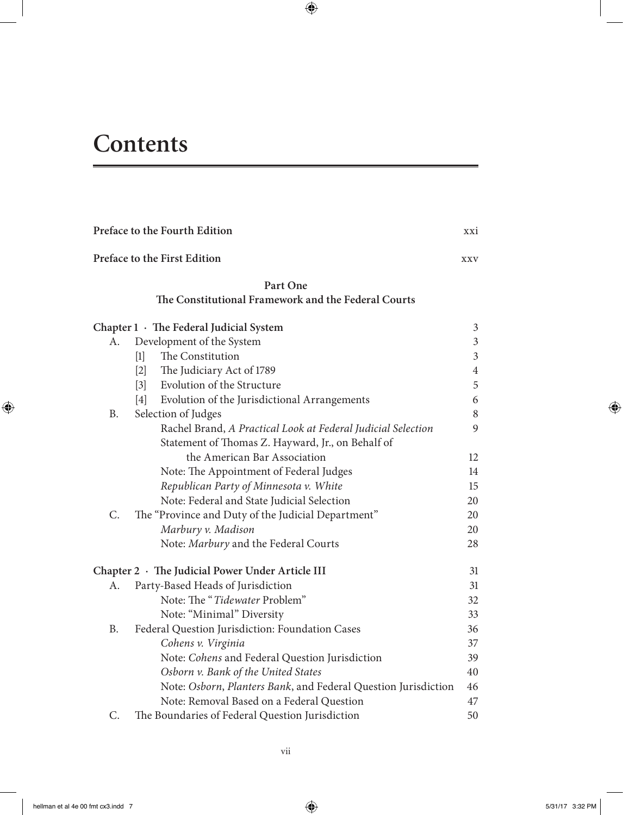## **Contents**

|           | Preface to the Fourth Edition                                  | xxi            |
|-----------|----------------------------------------------------------------|----------------|
|           | Preface to the First Edition                                   | <b>XXV</b>     |
|           | Part One                                                       |                |
|           | The Constitutional Framework and the Federal Courts            |                |
|           | Chapter $1 \cdot$ The Federal Judicial System                  | 3              |
| А.        | Development of the System                                      | $\mathfrak{Z}$ |
|           | The Constitution<br>$[1]$                                      | $\mathfrak{Z}$ |
|           | The Judiciary Act of 1789<br>$\lceil 2 \rceil$                 | $\overline{4}$ |
|           | Evolution of the Structure<br>$\left[3\right]$                 | 5              |
|           | [4]<br>Evolution of the Jurisdictional Arrangements            | 6              |
| <b>B.</b> | Selection of Judges                                            | 8              |
|           | Rachel Brand, A Practical Look at Federal Judicial Selection   | 9              |
|           | Statement of Thomas Z. Hayward, Jr., on Behalf of              |                |
|           | the American Bar Association                                   | 12             |
|           | Note: The Appointment of Federal Judges                        | 14             |
|           | Republican Party of Minnesota v. White                         | 15             |
|           | Note: Federal and State Judicial Selection                     | 20             |
| C.        | The "Province and Duty of the Judicial Department"             | 20             |
|           | Marbury v. Madison                                             | 20             |
|           | Note: Marbury and the Federal Courts                           | 28             |
|           | Chapter 2 · The Judicial Power Under Article III               | 31             |
| А.        | Party-Based Heads of Jurisdiction                              | 31             |
|           | Note: The "Tidewater Problem"                                  | 32             |
|           | Note: "Minimal" Diversity                                      | 33             |
| <b>B.</b> | Federal Question Jurisdiction: Foundation Cases                | 36             |
|           | Cohens v. Virginia                                             | 37             |
|           | Note: Cohens and Federal Question Jurisdiction                 | 39             |
|           | Osborn v. Bank of the United States                            | 40             |
|           | Note: Osborn, Planters Bank, and Federal Question Jurisdiction | 46             |
|           | Note: Removal Based on a Federal Question                      | 47             |
| C.        | The Boundaries of Federal Question Jurisdiction                | 50             |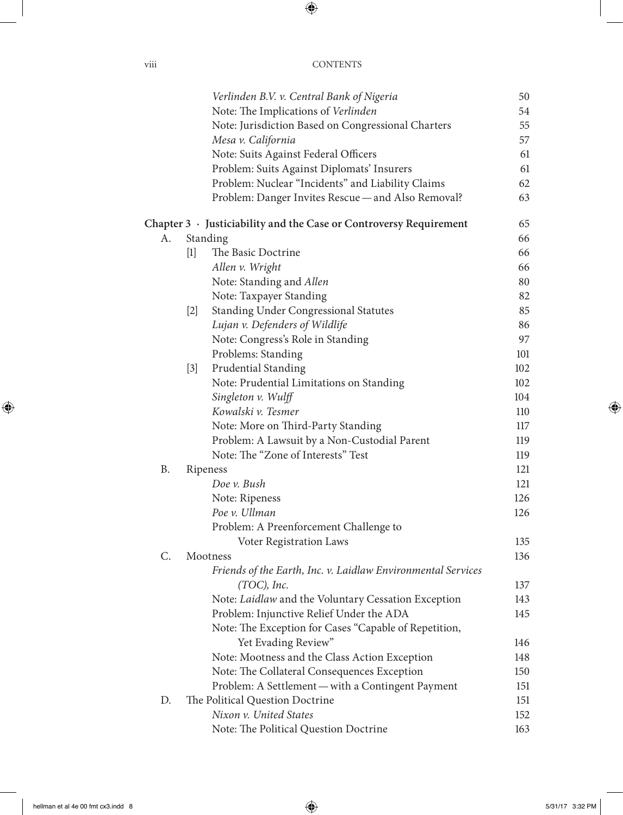|    | Verlinden B.V. v. Central Bank of Nigeria                                                         | 50  |
|----|---------------------------------------------------------------------------------------------------|-----|
|    | Note: The Implications of Verlinden                                                               | 54  |
|    | Note: Jurisdiction Based on Congressional Charters                                                | 55  |
|    | Mesa v. California                                                                                | 57  |
|    | Note: Suits Against Federal Officers                                                              | 61  |
|    | Problem: Suits Against Diplomats' Insurers                                                        | 61  |
|    | Problem: Nuclear "Incidents" and Liability Claims                                                 | 62  |
|    | Problem: Danger Invites Rescue - and Also Removal?                                                | 63  |
|    | Chapter $3$ $\cdot$ Justiciability and the Case or Controversy Requirement                        | 65  |
| А. | Standing                                                                                          | 66  |
|    | The Basic Doctrine<br>$[1]$                                                                       | 66  |
|    | Allen v. Wright                                                                                   | 66  |
|    | Note: Standing and Allen                                                                          | 80  |
|    | Note: Taxpayer Standing                                                                           | 82  |
|    | $[2]$<br><b>Standing Under Congressional Statutes</b>                                             | 85  |
|    | Lujan v. Defenders of Wildlife                                                                    | 86  |
|    | Note: Congress's Role in Standing                                                                 | 97  |
|    | Problems: Standing                                                                                | 101 |
|    | Prudential Standing<br>$[3]$                                                                      | 102 |
|    | Note: Prudential Limitations on Standing                                                          | 102 |
|    | Singleton v. Wulff                                                                                | 104 |
|    | Kowalski v. Tesmer                                                                                | 110 |
|    | Note: More on Third-Party Standing                                                                | 117 |
|    | Problem: A Lawsuit by a Non-Custodial Parent                                                      | 119 |
|    | Note: The "Zone of Interests" Test                                                                | 119 |
| В. | Ripeness                                                                                          | 121 |
|    | Doe v. Bush                                                                                       | 121 |
|    | Note: Ripeness                                                                                    | 126 |
|    | Poe v. Ullman                                                                                     | 126 |
|    | Problem: A Preenforcement Challenge to                                                            |     |
|    | Voter Registration Laws                                                                           | 135 |
| C. | Mootness                                                                                          | 136 |
|    | Friends of the Earth, Inc. v. Laidlaw Environmental Services<br>$(TOC)$ , Inc.                    | 137 |
|    | Note: Laidlaw and the Voluntary Cessation Exception                                               | 143 |
|    |                                                                                                   | 145 |
|    | Problem: Injunctive Relief Under the ADA<br>Note: The Exception for Cases "Capable of Repetition, |     |
|    | Yet Evading Review"                                                                               | 146 |
|    | Note: Mootness and the Class Action Exception                                                     | 148 |
|    |                                                                                                   | 150 |
|    | Note: The Collateral Consequences Exception<br>Problem: A Settlement — with a Contingent Payment  | 151 |
| D. | The Political Question Doctrine                                                                   | 151 |
|    | Nixon v. United States                                                                            | 152 |
|    |                                                                                                   |     |
|    | Note: The Political Question Doctrine                                                             | 163 |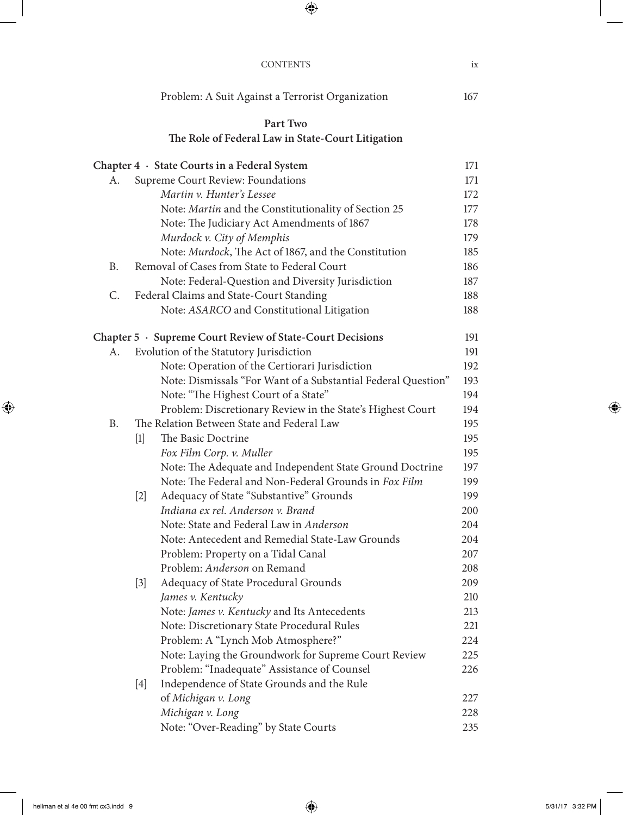| <b>CONTENTS</b> |  |
|-----------------|--|
|                 |  |

|    | Problem: A Suit Against a Terrorist Organization              | 167 |
|----|---------------------------------------------------------------|-----|
|    | Part Two                                                      |     |
|    | The Role of Federal Law in State-Court Litigation             |     |
|    | Chapter 4 · State Courts in a Federal System                  | 171 |
| А. | Supreme Court Review: Foundations                             | 171 |
|    | Martin v. Hunter's Lessee                                     | 172 |
|    | Note: Martin and the Constitutionality of Section 25          | 177 |
|    | Note: The Judiciary Act Amendments of 1867                    | 178 |
|    | Murdock v. City of Memphis                                    | 179 |
|    | Note: Murdock, The Act of 1867, and the Constitution          | 185 |
| B. | Removal of Cases from State to Federal Court                  | 186 |
|    | Note: Federal-Question and Diversity Jurisdiction             | 187 |
| C. | Federal Claims and State-Court Standing                       | 188 |
|    | Note: ASARCO and Constitutional Litigation                    | 188 |
|    | Chapter 5 · Supreme Court Review of State-Court Decisions     | 191 |
| А. | Evolution of the Statutory Jurisdiction                       | 191 |
|    | Note: Operation of the Certiorari Jurisdiction                | 192 |
|    | Note: Dismissals "For Want of a Substantial Federal Question" | 193 |
|    | Note: "The Highest Court of a State"                          | 194 |
|    | Problem: Discretionary Review in the State's Highest Court    | 194 |
| B. | The Relation Between State and Federal Law                    | 195 |
|    | $[1]$<br>The Basic Doctrine                                   | 195 |
|    | Fox Film Corp. v. Muller                                      | 195 |
|    | Note: The Adequate and Independent State Ground Doctrine      | 197 |
|    | Note: The Federal and Non-Federal Grounds in Fox Film         | 199 |
|    | $[2]$<br>Adequacy of State "Substantive" Grounds              | 199 |
|    | Indiana ex rel. Anderson v. Brand                             | 200 |
|    | Note: State and Federal Law in Anderson                       | 204 |
|    | Note: Antecedent and Remedial State-Law Grounds               | 204 |
|    | Problem: Property on a Tidal Canal                            | 207 |
|    | Problem: Anderson on Remand                                   | 208 |
|    | $[3]$<br>Adequacy of State Procedural Grounds                 | 209 |
|    | James v. Kentucky                                             | 210 |
|    | Note: James v. Kentucky and Its Antecedents                   | 213 |
|    | Note: Discretionary State Procedural Rules                    | 221 |
|    | Problem: A "Lynch Mob Atmosphere?"                            | 224 |
|    | Note: Laying the Groundwork for Supreme Court Review          | 225 |
|    | Problem: "Inadequate" Assistance of Counsel                   | 226 |
|    | $[4]$<br>Independence of State Grounds and the Rule           |     |
|    | of Michigan v. Long                                           | 227 |
|    | Michigan v. Long                                              | 228 |
|    | Note: "Over-Reading" by State Courts                          | 235 |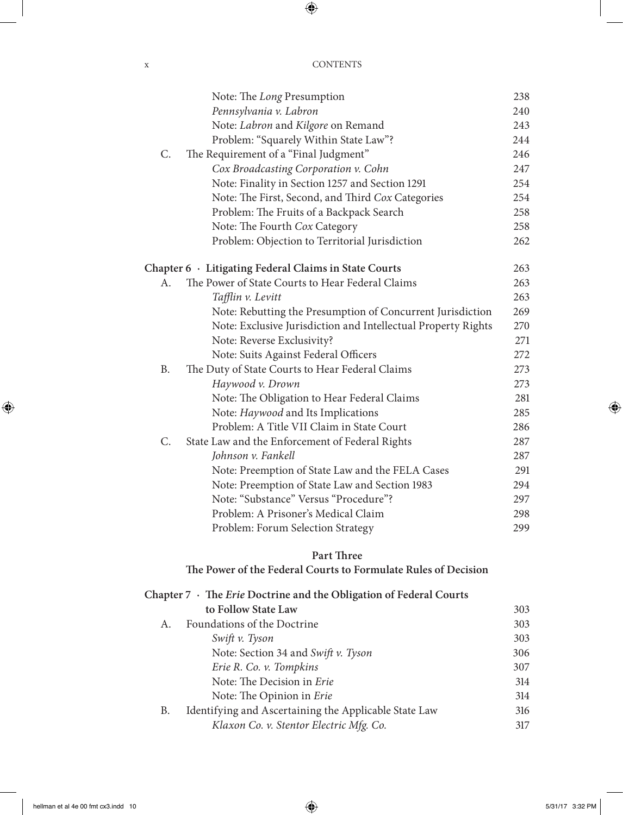|           | Note: The Long Presumption                                                      | 238 |
|-----------|---------------------------------------------------------------------------------|-----|
|           | Pennsylvania v. Labron                                                          | 240 |
|           | Note: Labron and Kilgore on Remand                                              | 243 |
|           | Problem: "Squarely Within State Law"?                                           | 244 |
| C.        | The Requirement of a "Final Judgment"                                           | 246 |
|           | Cox Broadcasting Corporation v. Cohn                                            | 247 |
|           | Note: Finality in Section 1257 and Section 1291                                 | 254 |
|           | Note: The First, Second, and Third Cox Categories                               | 254 |
|           | Problem: The Fruits of a Backpack Search                                        | 258 |
|           | Note: The Fourth Cox Category                                                   | 258 |
|           | Problem: Objection to Territorial Jurisdiction                                  | 262 |
|           | Chapter 6 · Litigating Federal Claims in State Courts                           | 263 |
| А.        | The Power of State Courts to Hear Federal Claims                                | 263 |
|           | Tafflin v. Levitt                                                               | 263 |
|           | Note: Rebutting the Presumption of Concurrent Jurisdiction                      | 269 |
|           | Note: Exclusive Jurisdiction and Intellectual Property Rights                   | 270 |
|           | Note: Reverse Exclusivity?                                                      | 271 |
|           | Note: Suits Against Federal Officers                                            | 272 |
| <b>B.</b> | The Duty of State Courts to Hear Federal Claims                                 | 273 |
|           | Haywood v. Drown                                                                | 273 |
|           | Note: The Obligation to Hear Federal Claims                                     | 281 |
|           | Note: Haywood and Its Implications                                              | 285 |
|           | Problem: A Title VII Claim in State Court                                       | 286 |
| C.        | State Law and the Enforcement of Federal Rights                                 | 287 |
|           | Johnson v. Fankell                                                              | 287 |
|           | Note: Preemption of State Law and the FELA Cases                                | 291 |
|           | Note: Preemption of State Law and Section 1983                                  | 294 |
|           | Note: "Substance" Versus "Procedure"?                                           | 297 |
|           | Problem: A Prisoner's Medical Claim                                             | 298 |
|           | Problem: Forum Selection Strategy                                               | 299 |
|           | Part Three                                                                      |     |
|           | The Power of the Federal Courts to Formulate Rules of Decision                  |     |
|           | Chapter $7 \cdot$ The <i>Erie</i> Doctrine and the Obligation of Federal Courts |     |
|           | to Follow State Law                                                             | 303 |
| A.        | Foundations of the Doctrine                                                     | 303 |
|           | Swift v. Tyson                                                                  | 303 |
|           | Note: Section 34 and Swift v. Tyson                                             | 306 |
|           | Erie R. Co. v. Tompkins                                                         | 307 |
|           | Note: The Decision in Erie                                                      | 314 |
|           | Note: The Opinion in Erie                                                       | 314 |
| В.        | Identifying and Ascertaining the Applicable State Law                           | 316 |
|           | Klaxon Co. v. Stentor Electric Mfg. Co.                                         | 317 |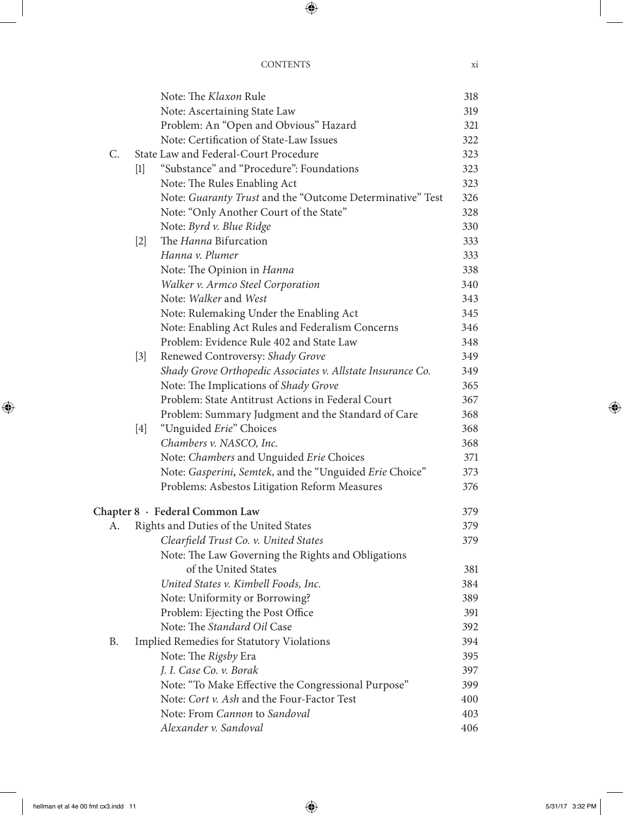|           | Note: The Klaxon Rule                                       | 318 |
|-----------|-------------------------------------------------------------|-----|
|           | Note: Ascertaining State Law                                | 319 |
|           | Problem: An "Open and Obvious" Hazard                       | 321 |
|           | Note: Certification of State-Law Issues                     | 322 |
| C.        | State Law and Federal-Court Procedure                       | 323 |
|           | "Substance" and "Procedure": Foundations<br>$[1]$           | 323 |
|           | Note: The Rules Enabling Act                                | 323 |
|           | Note: Guaranty Trust and the "Outcome Determinative" Test   | 326 |
|           | Note: "Only Another Court of the State"                     | 328 |
|           | Note: Byrd v. Blue Ridge                                    | 330 |
|           | The Hanna Bifurcation<br>$\lceil 2 \rceil$                  | 333 |
|           | Hanna v. Plumer                                             | 333 |
|           | Note: The Opinion in Hanna                                  | 338 |
|           | Walker v. Armco Steel Corporation                           | 340 |
|           | Note: Walker and West                                       | 343 |
|           | Note: Rulemaking Under the Enabling Act                     | 345 |
|           | Note: Enabling Act Rules and Federalism Concerns            | 346 |
|           | Problem: Evidence Rule 402 and State Law                    | 348 |
|           | $[3]$<br>Renewed Controversy: Shady Grove                   | 349 |
|           | Shady Grove Orthopedic Associates v. Allstate Insurance Co. | 349 |
|           | Note: The Implications of Shady Grove                       | 365 |
|           | Problem: State Antitrust Actions in Federal Court           | 367 |
|           | Problem: Summary Judgment and the Standard of Care          | 368 |
|           | "Unguided Erie" Choices<br>$[4]$                            | 368 |
|           | Chambers v. NASCO, Inc.                                     | 368 |
|           | Note: Chambers and Unguided Erie Choices                    | 371 |
|           | Note: Gasperini, Semtek, and the "Unguided Erie Choice"     | 373 |
|           | Problems: Asbestos Litigation Reform Measures               | 376 |
|           | Chapter 8 · Federal Common Law                              | 379 |
| А.        | Rights and Duties of the United States                      | 379 |
|           | Clearfield Trust Co. v. United States                       | 379 |
|           | Note: The Law Governing the Rights and Obligations          |     |
|           | of the United States                                        | 381 |
|           | United States v. Kimbell Foods, Inc.                        | 384 |
|           | Note: Uniformity or Borrowing?                              | 389 |
|           | Problem: Ejecting the Post Office                           | 391 |
|           | Note: The Standard Oil Case                                 | 392 |
| <b>B.</b> | <b>Implied Remedies for Statutory Violations</b>            | 394 |
|           | Note: The Rigsby Era                                        | 395 |
|           | J. I. Case Co. v. Borak                                     | 397 |
|           | Note: "To Make Effective the Congressional Purpose"         | 399 |
|           | Note: Cort v. Ash and the Four-Factor Test                  | 400 |
|           | Note: From Cannon to Sandoval                               | 403 |
|           | Alexander v. Sandoval                                       | 406 |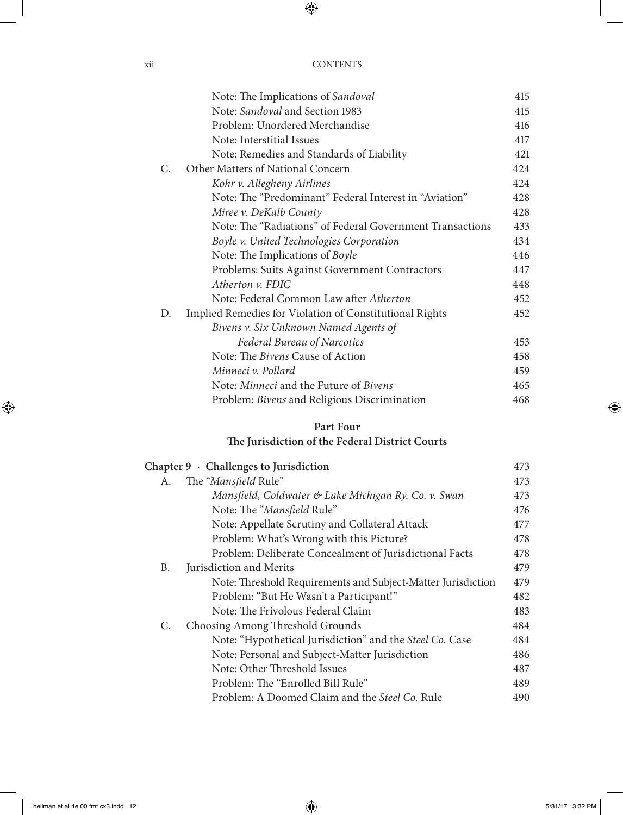|    | Note: The Implications of Sandoval                        | 415 |
|----|-----------------------------------------------------------|-----|
|    | Note: Sandoval and Section 1983                           | 415 |
|    | Problem: Unordered Merchandise                            | 416 |
|    | Note: Interstitial Issues                                 | 417 |
|    | Note: Remedies and Standards of Liability                 | 421 |
| C. | Other Matters of National Concern                         | 424 |
|    | Kohr v. Allegheny Airlines                                | 424 |
|    | Note: The "Predominant" Federal Interest in "Aviation"    | 428 |
|    | Miree v. DeKalb County                                    | 428 |
|    | Note: The "Radiations" of Federal Government Transactions | 433 |
|    | Boyle v. United Technologies Corporation                  | 434 |
|    | Note: The Implications of Boyle                           | 446 |
|    | Problems: Suits Against Government Contractors            | 447 |
|    | Atherton v. FDIC                                          | 448 |
|    | Note: Federal Common Law after Atherton                   | 452 |
| D. | Implied Remedies for Violation of Constitutional Rights   | 452 |
|    | Bivens v. Six Unknown Named Agents of                     |     |
|    | Federal Bureau of Narcotics                               | 453 |
|    | Note: The Bivens Cause of Action                          | 458 |
|    | Minneci v. Pollard                                        | 459 |
|    | Note: <i>Minneci</i> and the Future of <i>Bivens</i>      | 465 |
|    | Problem: Bivens and Religious Discrimination              | 468 |
|    |                                                           |     |

#### **Part Four The Jurisdiction of the Federal District Courts**

|    | Chapter $9 \cdot$ Challenges to Jurisdiction                 | 473 |
|----|--------------------------------------------------------------|-----|
| А. | The "Mansfield Rule"                                         | 473 |
|    | Mansfield, Coldwater & Lake Michigan Ry. Co. v. Swan         | 473 |
|    | Note: The "Mansfield Rule"                                   | 476 |
|    | Note: Appellate Scrutiny and Collateral Attack               | 477 |
|    | Problem: What's Wrong with this Picture?                     | 478 |
|    | Problem: Deliberate Concealment of Jurisdictional Facts      | 478 |
| B. | Jurisdiction and Merits                                      | 479 |
|    | Note: Threshold Requirements and Subject-Matter Jurisdiction | 479 |
|    | Problem: "But He Wasn't a Participant!"                      | 482 |
|    | Note: The Frivolous Federal Claim                            | 483 |
| C. | Choosing Among Threshold Grounds                             | 484 |
|    | Note: "Hypothetical Jurisdiction" and the Steel Co. Case     | 484 |
|    | Note: Personal and Subject-Matter Jurisdiction               | 486 |
|    | Note: Other Threshold Issues                                 | 487 |
|    | Problem: The "Enrolled Bill Rule"                            | 489 |
|    | Problem: A Doomed Claim and the Steel Co. Rule               | 490 |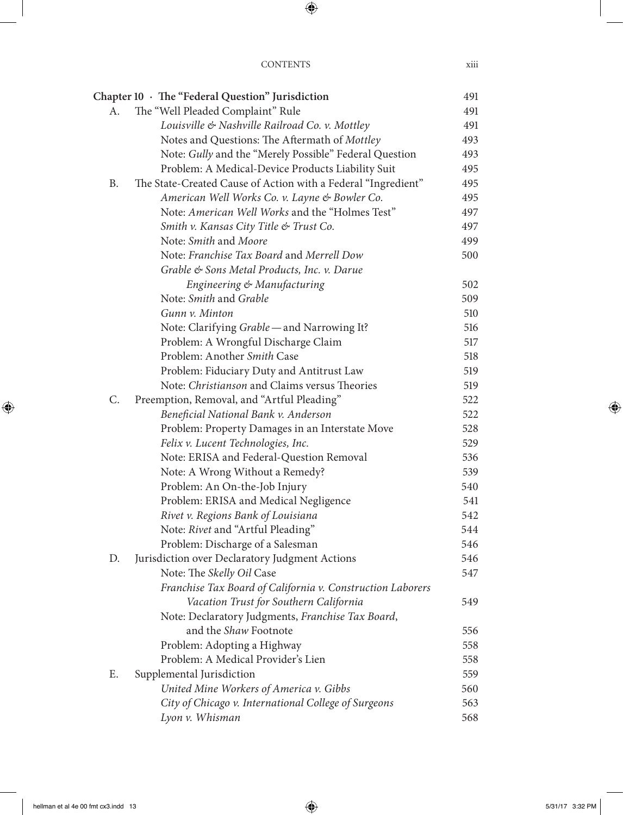#### CONTENTS xiii

|           | Chapter 10 · The "Federal Question" Jurisdiction              | 491 |
|-----------|---------------------------------------------------------------|-----|
| А.        | The "Well Pleaded Complaint" Rule                             | 491 |
|           | Louisville & Nashville Railroad Co. v. Mottley                | 491 |
|           | Notes and Questions: The Aftermath of Mottley                 | 493 |
|           | Note: Gully and the "Merely Possible" Federal Question        | 493 |
|           | Problem: A Medical-Device Products Liability Suit             | 495 |
| <b>B.</b> | The State-Created Cause of Action with a Federal "Ingredient" | 495 |
|           | American Well Works Co. v. Layne & Bowler Co.                 | 495 |
|           | Note: American Well Works and the "Holmes Test"               | 497 |
|           | Smith v. Kansas City Title & Trust Co.                        | 497 |
|           | Note: Smith and Moore                                         | 499 |
|           | Note: Franchise Tax Board and Merrell Dow                     | 500 |
|           | Grable & Sons Metal Products, Inc. v. Darue                   |     |
|           | Engineering & Manufacturing                                   | 502 |
|           | Note: Smith and Grable                                        | 509 |
|           | Gunn v. Minton                                                | 510 |
|           | Note: Clarifying Grable - and Narrowing It?                   | 516 |
|           | Problem: A Wrongful Discharge Claim                           | 517 |
|           | Problem: Another Smith Case                                   | 518 |
|           | Problem: Fiduciary Duty and Antitrust Law                     | 519 |
|           | Note: <i>Christianson</i> and Claims versus Theories          | 519 |
| C.        | Preemption, Removal, and "Artful Pleading"                    | 522 |
|           | Beneficial National Bank v. Anderson                          | 522 |
|           | Problem: Property Damages in an Interstate Move               | 528 |
|           | Felix v. Lucent Technologies, Inc.                            | 529 |
|           | Note: ERISA and Federal-Question Removal                      | 536 |
|           | Note: A Wrong Without a Remedy?                               | 539 |
|           | Problem: An On-the-Job Injury                                 | 540 |
|           | Problem: ERISA and Medical Negligence                         | 541 |
|           | Rivet v. Regions Bank of Louisiana                            | 542 |
|           | Note: Rivet and "Artful Pleading"                             | 544 |
|           | Problem: Discharge of a Salesman                              | 546 |
| D.        | Jurisdiction over Declaratory Judgment Actions                | 546 |
|           | Note: The Skelly Oil Case                                     | 547 |
|           | Franchise Tax Board of California v. Construction Laborers    |     |
|           | Vacation Trust for Southern California                        | 549 |
|           | Note: Declaratory Judgments, Franchise Tax Board,             |     |
|           | and the Shaw Footnote                                         | 556 |
|           | Problem: Adopting a Highway                                   | 558 |
|           | Problem: A Medical Provider's Lien                            | 558 |
| Ε.        | Supplemental Jurisdiction                                     | 559 |
|           | United Mine Workers of America v. Gibbs                       | 560 |
|           | City of Chicago v. International College of Surgeons          | 563 |
|           | Lyon v. Whisman                                               | 568 |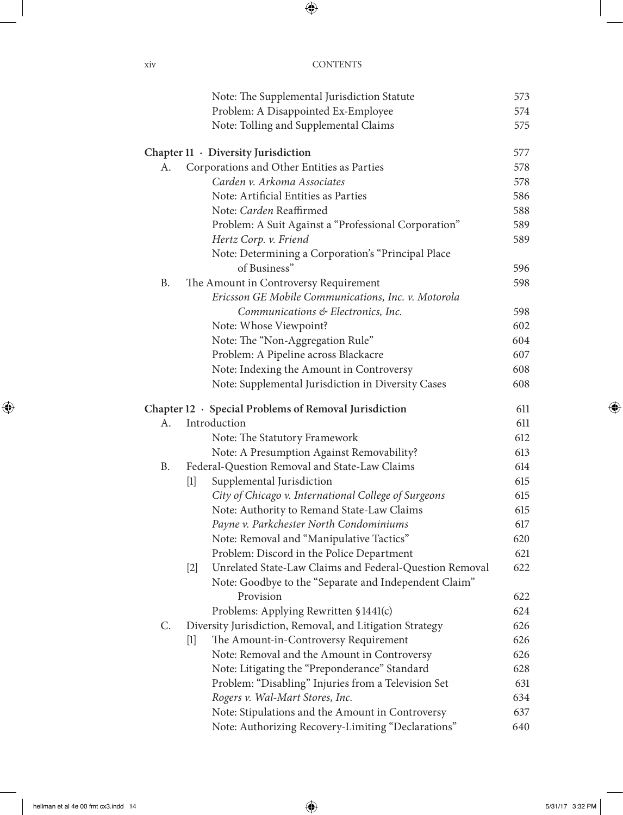| X1V | <b>CONTENTS</b> |
|-----|-----------------|
|     |                 |

|           | Note: The Supplemental Jurisdiction Statute                      | 573 |
|-----------|------------------------------------------------------------------|-----|
|           | Problem: A Disappointed Ex-Employee                              | 574 |
|           | Note: Tolling and Supplemental Claims                            | 575 |
|           | Chapter 11 · Diversity Jurisdiction                              | 577 |
| А.        | Corporations and Other Entities as Parties                       | 578 |
|           | Carden v. Arkoma Associates                                      | 578 |
|           | Note: Artificial Entities as Parties                             | 586 |
|           | Note: Carden Reaffirmed                                          | 588 |
|           | Problem: A Suit Against a "Professional Corporation"             | 589 |
|           | Hertz Corp. v. Friend                                            | 589 |
|           | Note: Determining a Corporation's "Principal Place               |     |
|           | of Business"                                                     | 596 |
| <b>B.</b> | The Amount in Controversy Requirement                            | 598 |
|           | Ericsson GE Mobile Communications, Inc. v. Motorola              |     |
|           | Communications & Electronics, Inc.                               | 598 |
|           | Note: Whose Viewpoint?                                           | 602 |
|           | Note: The "Non-Aggregation Rule"                                 | 604 |
|           | Problem: A Pipeline across Blackacre                             | 607 |
|           | Note: Indexing the Amount in Controversy                         | 608 |
|           | Note: Supplemental Jurisdiction in Diversity Cases               | 608 |
|           | Chapter $12 \cdot$ Special Problems of Removal Jurisdiction      | 611 |
| А.        | Introduction                                                     | 611 |
|           | Note: The Statutory Framework                                    | 612 |
|           | Note: A Presumption Against Removability?                        | 613 |
| <b>B.</b> | Federal-Question Removal and State-Law Claims                    | 614 |
|           | Supplemental Jurisdiction<br>$[1]$                               | 615 |
|           | City of Chicago v. International College of Surgeons             | 615 |
|           | Note: Authority to Remand State-Law Claims                       | 615 |
|           | Payne v. Parkchester North Condominiums                          | 617 |
|           | Note: Removal and "Manipulative Tactics"                         | 620 |
|           | Problem: Discord in the Police Department                        | 621 |
|           | Unrelated State-Law Claims and Federal-Question Removal<br>$[2]$ | 622 |
|           | Note: Goodbye to the "Separate and Independent Claim"            |     |
|           | Provision                                                        | 622 |
|           | Problems: Applying Rewritten §1441(c)                            | 624 |
| C.        | Diversity Jurisdiction, Removal, and Litigation Strategy         | 626 |
|           | The Amount-in-Controversy Requirement<br>$[1]$                   | 626 |
|           | Note: Removal and the Amount in Controversy                      | 626 |
|           | Note: Litigating the "Preponderance" Standard                    | 628 |
|           | Problem: "Disabling" Injuries from a Television Set              | 631 |
|           | Rogers v. Wal-Mart Stores, Inc.                                  | 634 |
|           | Note: Stipulations and the Amount in Controversy                 | 637 |
|           | Note: Authorizing Recovery-Limiting "Declarations"               | 640 |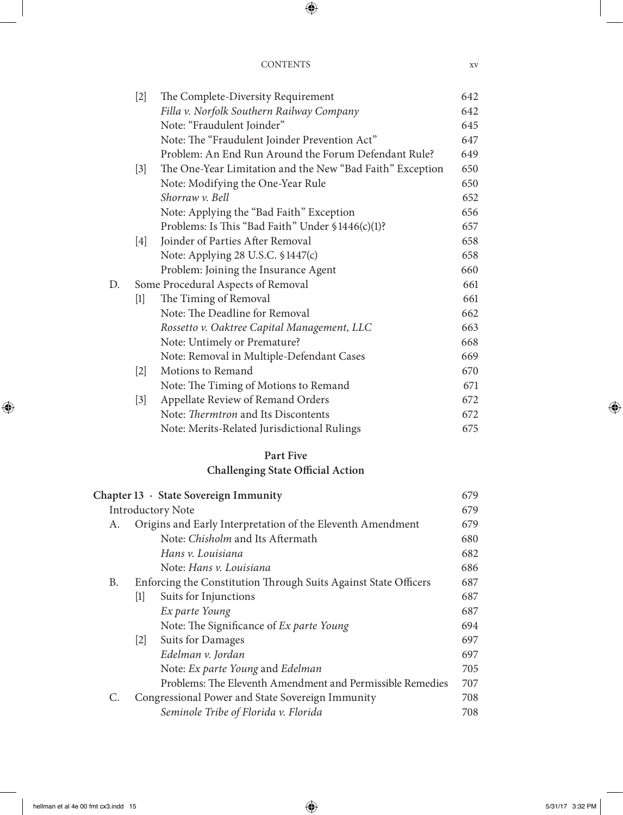|                          | $[2]$            | The Complete-Diversity Requirement                                                                    | 642        |
|--------------------------|------------------|-------------------------------------------------------------------------------------------------------|------------|
|                          |                  | Filla v. Norfolk Southern Railway Company                                                             | 642        |
|                          |                  | Note: "Fraudulent Joinder"                                                                            | 645        |
|                          |                  | Note: The "Fraudulent Joinder Prevention Act"<br>Problem: An End Run Around the Forum Defendant Rule? | 647        |
|                          |                  |                                                                                                       | 649        |
|                          | $\left[3\right]$ | The One-Year Limitation and the New "Bad Faith" Exception                                             | 650        |
|                          |                  | Note: Modifying the One-Year Rule<br>Shorraw v. Bell                                                  | 650        |
|                          |                  |                                                                                                       | 652<br>656 |
|                          |                  | Note: Applying the "Bad Faith" Exception                                                              |            |
|                          |                  | Problems: Is This "Bad Faith" Under §1446(c)(1)?                                                      | 657        |
|                          | [4]              | Joinder of Parties After Removal                                                                      | 658        |
|                          |                  | Note: Applying 28 U.S.C. § 1447(c)                                                                    | 658        |
|                          |                  | Problem: Joining the Insurance Agent                                                                  | 660        |
| D.                       |                  | Some Procedural Aspects of Removal                                                                    | 661        |
|                          | $[1]$            | The Timing of Removal<br>Note: The Deadline for Removal                                               | 661<br>662 |
|                          |                  |                                                                                                       | 663        |
|                          |                  | Rossetto v. Oaktree Capital Management, LLC                                                           | 668        |
|                          |                  | Note: Untimely or Premature?                                                                          |            |
|                          |                  | Note: Removal in Multiple-Defendant Cases<br>Motions to Remand                                        | 669        |
|                          | $\left[2\right]$ |                                                                                                       | 670        |
|                          |                  | Note: The Timing of Motions to Remand                                                                 | 671        |
|                          | $[3]$            | Appellate Review of Remand Orders<br>Note: Thermtron and Its Discontents                              | 672        |
|                          |                  |                                                                                                       | 672        |
|                          |                  | Note: Merits-Related Jurisdictional Rulings                                                           | 675        |
|                          |                  | <b>Part Five</b>                                                                                      |            |
|                          |                  | <b>Challenging State Official Action</b>                                                              |            |
|                          |                  | Chapter 13 · State Sovereign Immunity                                                                 | 679        |
| <b>Introductory Note</b> |                  | 679                                                                                                   |            |
| А.                       |                  | Origins and Early Interpretation of the Eleventh Amendment                                            | 679        |
|                          |                  | Note: Chisholm and Its Aftermath                                                                      | 680        |
|                          |                  | Hans v. Louisiana                                                                                     | 682        |
|                          |                  | Note: Hans v. Louisiana                                                                               | 686        |
| <b>B.</b>                |                  | Enforcing the Constitution Through Suits Against State Officers                                       | 687        |

|    |       | Origino and Darry Thier pretation of the Dieventh Thilehement   |     |
|----|-------|-----------------------------------------------------------------|-----|
|    |       | Note: <i>Chisholm</i> and Its Aftermath                         | 680 |
|    |       | Hans v. Louisiana                                               | 682 |
|    |       | Note: Hans v. Louisiana                                         | 686 |
| В. |       | Enforcing the Constitution Through Suits Against State Officers | 687 |
|    | $[1]$ | Suits for Injunctions                                           | 687 |
|    |       | Ex parte Young                                                  | 687 |
|    |       | Note: The Significance of Ex parte Young                        | 694 |
|    | $[2]$ | Suits for Damages                                               | 697 |
|    |       | Edelman v. Jordan                                               | 697 |
|    |       | Note: Ex parte Young and Edelman                                | 705 |
|    |       | Problems: The Eleventh Amendment and Permissible Remedies       | 707 |
|    |       | Congressional Power and State Sovereign Immunity                | 708 |
|    |       | Seminole Tribe of Florida v. Florida                            | 708 |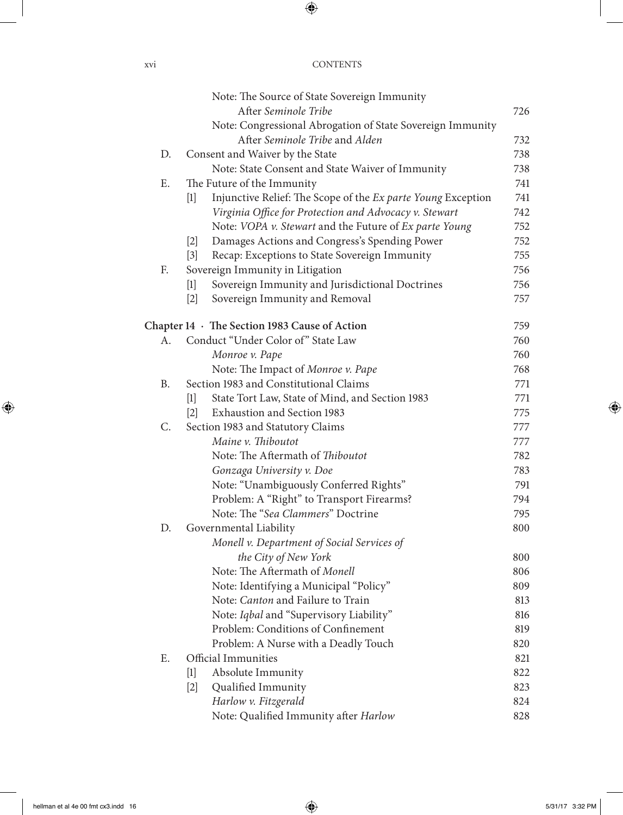|    | Note: The Source of State Sovereign Immunity                                            |     |
|----|-----------------------------------------------------------------------------------------|-----|
|    | After Seminole Tribe                                                                    | 726 |
|    | Note: Congressional Abrogation of State Sovereign Immunity                              |     |
|    | After Seminole Tribe and Alden                                                          | 732 |
| D. | Consent and Waiver by the State                                                         | 738 |
|    | Note: State Consent and State Waiver of Immunity                                        | 738 |
| Ε. | The Future of the Immunity                                                              | 741 |
|    | Injunctive Relief: The Scope of the Ex parte Young Exception<br>$[1]$                   | 741 |
|    | Virginia Office for Protection and Advocacy v. Stewart                                  | 742 |
|    | Note: VOPA v. Stewart and the Future of Ex parte Young                                  | 752 |
|    | Damages Actions and Congress's Spending Power<br>$[2]$                                  | 752 |
|    | $[3]$<br>Recap: Exceptions to State Sovereign Immunity                                  | 755 |
| F. | Sovereign Immunity in Litigation                                                        | 756 |
|    | $[1]$<br>Sovereign Immunity and Jurisdictional Doctrines                                | 756 |
|    | $[2]$<br>Sovereign Immunity and Removal                                                 | 757 |
|    |                                                                                         |     |
|    | Chapter 14 · The Section 1983 Cause of Action<br>Conduct "Under Color of" State Law     | 759 |
| А. |                                                                                         | 760 |
|    | Monroe v. Pape                                                                          | 760 |
|    | Note: The Impact of Monroe v. Pape<br>Section 1983 and Constitutional Claims            | 768 |
| B. |                                                                                         | 771 |
|    | State Tort Law, State of Mind, and Section 1983<br>$[1]$<br>Exhaustion and Section 1983 | 771 |
|    | $\lceil 2 \rceil$                                                                       | 775 |
| C. | Section 1983 and Statutory Claims<br>Maine v. Thiboutot                                 | 777 |
|    | Note: The Aftermath of Thiboutot                                                        | 777 |
|    |                                                                                         | 782 |
|    | Gonzaga University v. Doe                                                               | 783 |
|    | Note: "Unambiguously Conferred Rights"                                                  | 791 |
|    | Problem: A "Right" to Transport Firearms?                                               | 794 |
|    | Note: The "Sea Clammers" Doctrine                                                       | 795 |
| D. | Governmental Liability                                                                  | 800 |
|    | Monell v. Department of Social Services of                                              | 800 |
|    | the City of New York<br>Note: The Aftermath of Monell                                   | 806 |
|    |                                                                                         |     |
|    | Note: Identifying a Municipal "Policy"                                                  | 809 |
|    | Note: Canton and Failure to Train                                                       | 813 |
|    | Note: Iqbal and "Supervisory Liability"                                                 | 816 |
|    | Problem: Conditions of Confinement                                                      | 819 |
|    | Problem: A Nurse with a Deadly Touch                                                    | 820 |
| Ε. | Official Immunities                                                                     | 821 |
|    | $[1]$<br>Absolute Immunity                                                              | 822 |
|    | $[2]$<br>Qualified Immunity                                                             | 823 |
|    | Harlow v. Fitzgerald                                                                    | 824 |
|    | Note: Qualified Immunity after Harlow                                                   | 828 |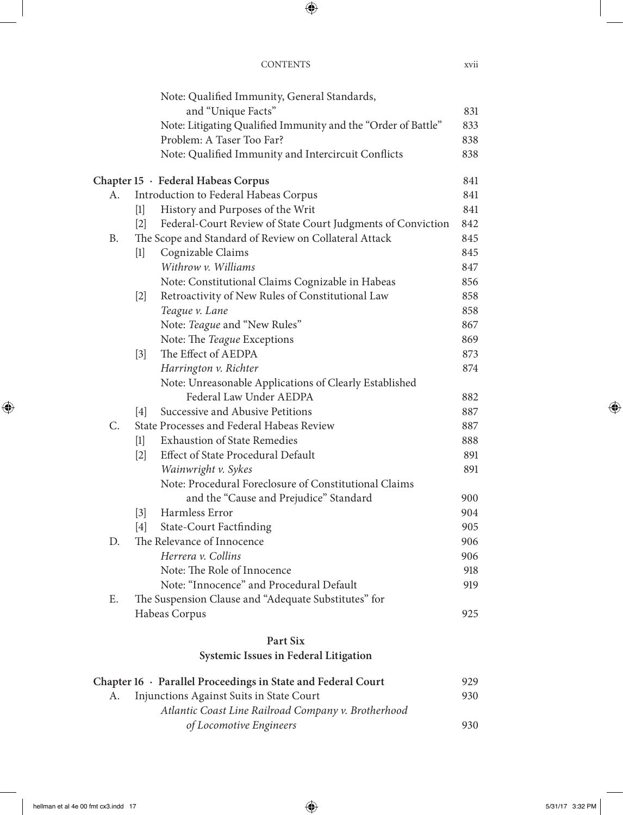|           | Note: Qualified Immunity, General Standards,                                     |     |
|-----------|----------------------------------------------------------------------------------|-----|
|           | and "Unique Facts"                                                               | 831 |
|           | Note: Litigating Qualified Immunity and the "Order of Battle"                    | 833 |
|           | Problem: A Taser Too Far?                                                        | 838 |
|           | Note: Qualified Immunity and Intercircuit Conflicts                              | 838 |
|           | Chapter 15 · Federal Habeas Corpus                                               | 841 |
| А.        | Introduction to Federal Habeas Corpus                                            | 841 |
|           | History and Purposes of the Writ<br>$[1]$                                        | 841 |
|           | $\lceil 2 \rceil$<br>Federal-Court Review of State Court Judgments of Conviction | 842 |
| <b>B.</b> | The Scope and Standard of Review on Collateral Attack                            | 845 |
|           | Cognizable Claims<br>$[1]$                                                       | 845 |
|           | Withrow v. Williams                                                              | 847 |
|           | Note: Constitutional Claims Cognizable in Habeas                                 | 856 |
|           | $[2]$<br>Retroactivity of New Rules of Constitutional Law                        | 858 |
|           | Teague v. Lane                                                                   | 858 |
|           | Note: Teague and "New Rules"                                                     | 867 |
|           | Note: The Teague Exceptions                                                      | 869 |
|           | The Effect of AEDPA<br>$[3]$                                                     | 873 |
|           | Harrington v. Richter                                                            | 874 |
|           | Note: Unreasonable Applications of Clearly Established                           |     |
|           | Federal Law Under AEDPA                                                          | 882 |
|           | Successive and Abusive Petitions<br>[4]                                          | 887 |
| C.        | State Processes and Federal Habeas Review                                        | 887 |
|           | <b>Exhaustion of State Remedies</b><br>$\lceil 1 \rceil$                         | 888 |
|           | Effect of State Procedural Default<br>$\lceil 2 \rceil$                          | 891 |
|           | Wainwright v. Sykes                                                              | 891 |
|           | Note: Procedural Foreclosure of Constitutional Claims                            |     |
|           | and the "Cause and Prejudice" Standard                                           | 900 |
|           | Harmless Error<br>$\left[3\right]$                                               | 904 |
|           | [4]<br><b>State-Court Factfinding</b>                                            | 905 |
| D.        | The Relevance of Innocence                                                       | 906 |
|           | Herrera v. Collins                                                               | 906 |
|           | Note: The Role of Innocence                                                      | 918 |
|           | Note: "Innocence" and Procedural Default                                         | 919 |
| Ε.        | The Suspension Clause and "Adequate Substitutes" for                             |     |
|           | Habeas Corpus                                                                    | 925 |
|           | Part Six                                                                         |     |
|           | Systemic Issues in Federal Litigation                                            |     |
|           | Chapter $16 \cdot$ Parallel Proceedings in State and Federal Court               | 929 |
| А.        | Injunctions Against Suits in State Court                                         | 930 |
|           | Atlantic Coast Line Railroad Company v. Brotherhood                              |     |
|           | of Locomotive Engineers                                                          | 930 |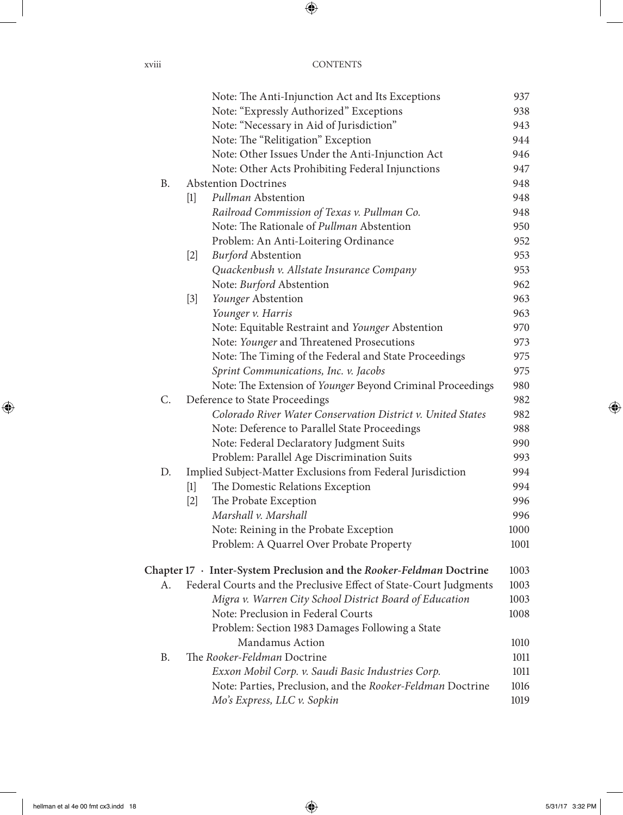|           | Note: The Anti-Injunction Act and Its Exceptions                     | 937  |
|-----------|----------------------------------------------------------------------|------|
|           | Note: "Expressly Authorized" Exceptions                              | 938  |
|           | Note: "Necessary in Aid of Jurisdiction"                             | 943  |
|           | Note: The "Relitigation" Exception                                   | 944  |
|           | Note: Other Issues Under the Anti-Injunction Act                     | 946  |
|           | Note: Other Acts Prohibiting Federal Injunctions                     | 947  |
| <b>B.</b> | <b>Abstention Doctrines</b>                                          | 948  |
|           | Pullman Abstention<br>$[1]$                                          | 948  |
|           | Railroad Commission of Texas v. Pullman Co.                          | 948  |
|           | Note: The Rationale of Pullman Abstention                            | 950  |
|           | Problem: An Anti-Loitering Ordinance                                 | 952  |
|           | $[2]$<br><b>Burford Abstention</b>                                   | 953  |
|           | Quackenbush v. Allstate Insurance Company                            | 953  |
|           | Note: Burford Abstention                                             | 962  |
|           | $[3]$<br>Younger Abstention                                          | 963  |
|           | Younger v. Harris                                                    | 963  |
|           | Note: Equitable Restraint and Younger Abstention                     | 970  |
|           | Note: Younger and Threatened Prosecutions                            | 973  |
|           | Note: The Timing of the Federal and State Proceedings                | 975  |
|           | Sprint Communications, Inc. v. Jacobs                                | 975  |
|           | Note: The Extension of Younger Beyond Criminal Proceedings           | 980  |
| C.        | Deference to State Proceedings                                       | 982  |
|           | Colorado River Water Conservation District v. United States          | 982  |
|           | Note: Deference to Parallel State Proceedings                        | 988  |
|           | Note: Federal Declaratory Judgment Suits                             | 990  |
|           | Problem: Parallel Age Discrimination Suits                           | 993  |
| D.        | Implied Subject-Matter Exclusions from Federal Jurisdiction          | 994  |
|           | $[1]$<br>The Domestic Relations Exception                            | 994  |
|           | $\lceil 2 \rceil$<br>The Probate Exception                           | 996  |
|           | Marshall v. Marshall                                                 | 996  |
|           | Note: Reining in the Probate Exception                               | 1000 |
|           | Problem: A Quarrel Over Probate Property                             | 1001 |
|           | Chapter 17 · Inter-System Preclusion and the Rooker-Feldman Doctrine | 1003 |
| А.        | Federal Courts and the Preclusive Effect of State-Court Judgments    | 1003 |
|           | Migra v. Warren City School District Board of Education              | 1003 |
|           | Note: Preclusion in Federal Courts                                   | 1008 |
|           | Problem: Section 1983 Damages Following a State                      |      |
|           | Mandamus Action                                                      | 1010 |
| В.        | The Rooker-Feldman Doctrine                                          | 1011 |
|           | Exxon Mobil Corp. v. Saudi Basic Industries Corp.                    | 1011 |
|           | Note: Parties, Preclusion, and the Rooker-Feldman Doctrine           | 1016 |
|           | Mo's Express, LLC v. Sopkin                                          | 1019 |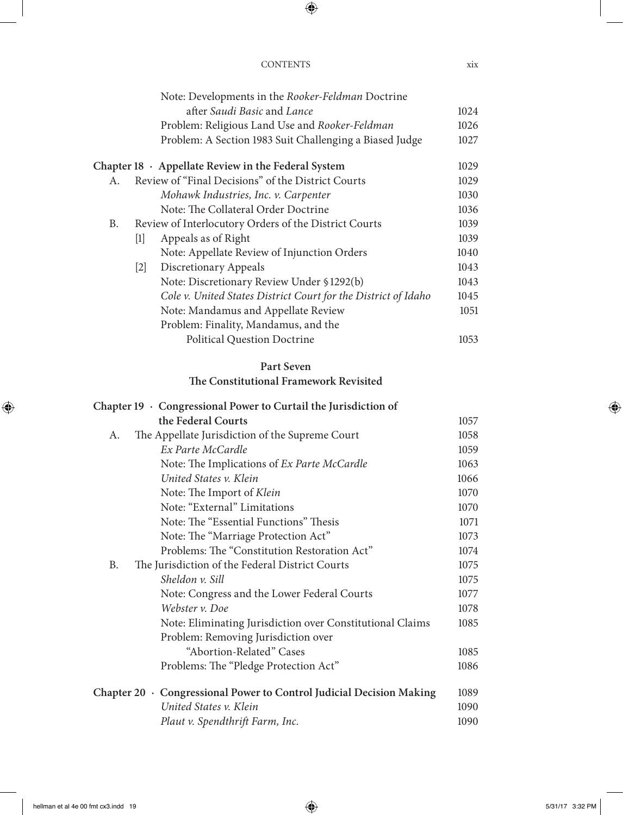| Note: Developments in the Rooker-Feldman Doctrine                     |      |  |
|-----------------------------------------------------------------------|------|--|
| after Saudi Basic and Lance                                           | 1024 |  |
| Problem: Religious Land Use and Rooker-Feldman                        | 1026 |  |
| Problem: A Section 1983 Suit Challenging a Biased Judge               | 1027 |  |
| Chapter 18 · Appellate Review in the Federal System                   |      |  |
| Review of "Final Decisions" of the District Courts<br>А.              | 1029 |  |
| Mohawk Industries, Inc. v. Carpenter                                  | 1030 |  |
| Note: The Collateral Order Doctrine                                   | 1036 |  |
| <b>B.</b><br>Review of Interlocutory Orders of the District Courts    | 1039 |  |
| Appeals as of Right<br>$[1]$                                          | 1039 |  |
| Note: Appellate Review of Injunction Orders                           | 1040 |  |
| <b>Discretionary Appeals</b><br>$[2]$                                 | 1043 |  |
| Note: Discretionary Review Under §1292(b)                             | 1043 |  |
| Cole v. United States District Court for the District of Idaho        | 1045 |  |
| Note: Mandamus and Appellate Review                                   | 1051 |  |
| Problem: Finality, Mandamus, and the                                  |      |  |
| Political Question Doctrine                                           | 1053 |  |
| <b>Part Seven</b>                                                     |      |  |
| The Constitutional Framework Revisited                                |      |  |
| Chapter $19 \cdot$ Congressional Power to Curtail the Jurisdiction of |      |  |
| the Federal Courts                                                    | 1057 |  |
| The Appellate Jurisdiction of the Supreme Court<br>А.                 | 1058 |  |
| Ex Parte McCardle                                                     | 1059 |  |
| Note: The Implications of Ex Parte McCardle                           | 1063 |  |
| United States v. Klein                                                | 1066 |  |
| Note: The Import of Klein                                             | 1070 |  |
| Note: "External" Limitations                                          | 1070 |  |
| Note: The "Essential Functions" Thesis                                | 1071 |  |
| Note: The "Marriage Protection Act"                                   | 1073 |  |
| Problems: The "Constitution Restoration Act"                          | 1074 |  |
| The Jurisdiction of the Federal District Courts<br>Β.                 | 1075 |  |
| Sheldon v. Sill                                                       | 1075 |  |
| Note: Congress and the Lower Federal Courts                           | 1077 |  |
| Webster v. Doe                                                        | 1078 |  |
| Note: Eliminating Jurisdiction over Constitutional Claims             | 1085 |  |
| Problem: Removing Jurisdiction over                                   |      |  |
| "Abortion-Related" Cases                                              | 1085 |  |
| Problems: The "Pledge Protection Act"                                 | 1086 |  |
| Chapter 20 · Congressional Power to Control Judicial Decision Making  | 1089 |  |
| United States v. Klein                                                | 1090 |  |
| Plaut v. Spendthrift Farm, Inc.                                       | 1090 |  |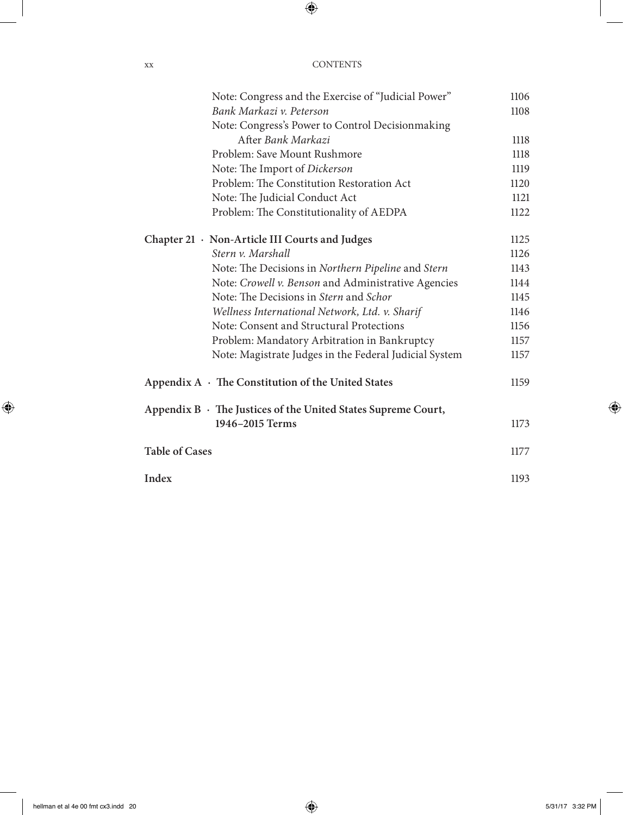| Note: Congress and the Exercise of "Judicial Power"                 | 1106 |
|---------------------------------------------------------------------|------|
| Bank Markazi v. Peterson                                            | 1108 |
| Note: Congress's Power to Control Decisionmaking                    |      |
| After Bank Markazi                                                  | 1118 |
| Problem: Save Mount Rushmore                                        | 1118 |
| Note: The Import of Dickerson                                       | 1119 |
| Problem: The Constitution Restoration Act                           | 1120 |
| Note: The Judicial Conduct Act                                      | 1121 |
| Problem: The Constitutionality of AEDPA                             | 1122 |
| Chapter 21 · Non-Article III Courts and Judges                      | 1125 |
| Stern v. Marshall                                                   | 1126 |
| Note: The Decisions in Northern Pipeline and Stern                  | 1143 |
| Note: Crowell v. Benson and Administrative Agencies                 | 1144 |
| Note: The Decisions in <i>Stern</i> and <i>Schor</i>                | 1145 |
| Wellness International Network, Ltd. v. Sharif                      | 1146 |
| Note: Consent and Structural Protections                            | 1156 |
| Problem: Mandatory Arbitration in Bankruptcy                        | 1157 |
| Note: Magistrate Judges in the Federal Judicial System              | 1157 |
| Appendix A · The Constitution of the United States                  | 1159 |
| Appendix $B \cdot$ The Justices of the United States Supreme Court, |      |
| 1946-2015 Terms                                                     | 1173 |
| <b>Table of Cases</b>                                               | 1177 |
| Index                                                               | 1193 |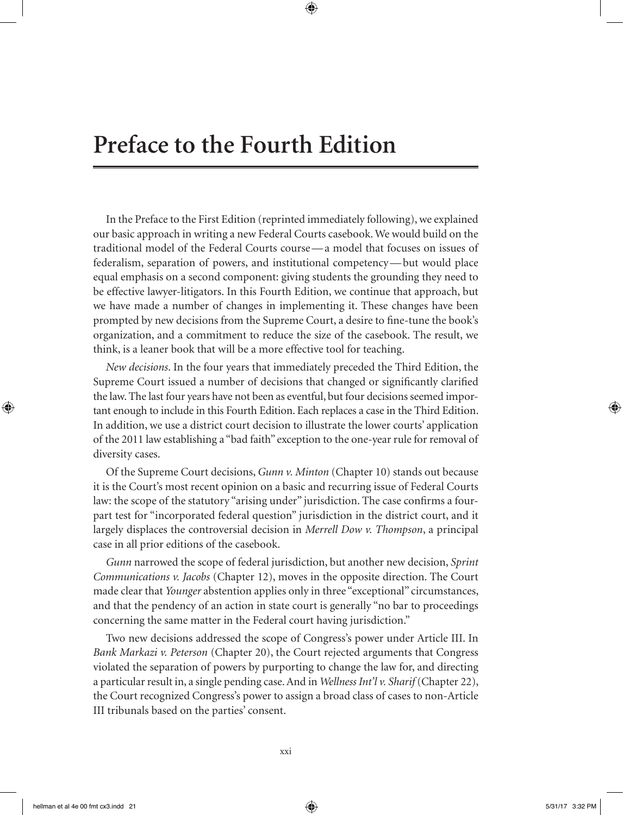In the Preface to the First Edition (reprinted immediately following), we explained our basic approach in writing a new Federal Courts casebook. We would build on the traditional model of the Federal Courts course— a model that focuses on issues of federalism, separation of powers, and institutional competency— but would place equal emphasis on a second component: giving students the grounding they need to be effective lawyer-litigators. In this Fourth Edition, we continue that approach, but we have made a number of changes in implementing it. These changes have been prompted by new decisions from the Supreme Court, a desire to fine-tune the book's organization, and a commitment to reduce the size of the casebook. The result, we think, is a leaner book that will be a more effective tool for teaching.

*New decisions*. In the four years that immediately preceded the Third Edition, the Supreme Court issued a number of decisions that changed or significantly clarified the law. The last four years have not been as eventful, but four decisions seemed important enough to include in this Fourth Edition. Each replaces a case in the Third Edition. In addition, we use a district court decision to illustrate the lower courts' application of the 2011 law establishing a "bad faith" exception to the one-year rule for removal of diversity cases.

Of the Supreme Court decisions, *Gunn v. Minton* (Chapter 10) stands out because it is the Court's most recent opinion on a basic and recurring issue of Federal Courts law: the scope of the statutory "arising under" jurisdiction. The case confirms a fourpart test for "incorporated federal question" jurisdiction in the district court, and it largely displaces the controversial decision in *Merrell Dow v. Thompson*, a principal case in all prior editions of the casebook.

*Gunn* narrowed the scope of federal jurisdiction, but another new decision, *Sprint Communications v. Jacobs* (Chapter 12), moves in the opposite direction. The Court made clear that *Younger* abstention applies only in three "exceptional" circumstances, and that the pendency of an action in state court is generally "no bar to proceedings concerning the same matter in the Federal court having jurisdiction."

Two new decisions addressed the scope of Congress's power under Article III. In *Bank Markazi v. Peterson* (Chapter 20), the Court rejected arguments that Congress violated the separation of powers by purporting to change the law for, and directing a particular result in, a single pending case. And in *Wellness Int'l v. Sharif* (Chapter 22), the Court recognized Congress's power to assign a broad class of cases to non-Article III tribunals based on the parties' consent.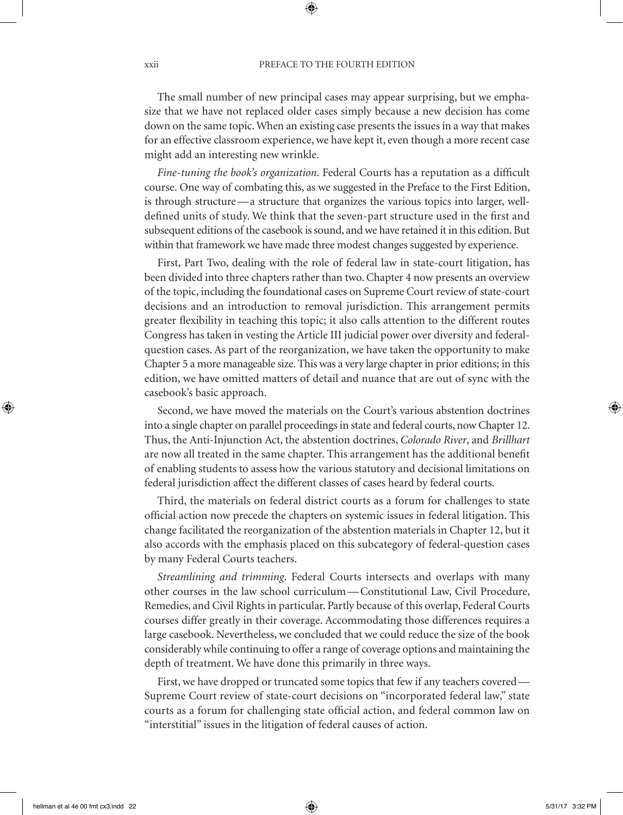The small number of new principal cases may appear surprising, but we emphasize that we have not replaced older cases simply because a new decision has come down on the same topic. When an existing case presents the issues in a way that makes for an effective classroom experience, we have kept it, even though a more recent case might add an interesting new wrinkle.

*Fine-tuning the book's organization*. Federal Courts has a reputation as a difficult course. One way of combating this, as we suggested in the Preface to the First Edition, is through structure— a structure that organizes the various topics into larger, welldefined units of study. We think that the seven-part structure used in the first and subsequent editions of the casebook is sound, and we have retained it in this edition. But within that framework we have made three modest changes suggested by experience.

First, Part Two, dealing with the role of federal law in state-court litigation, has been divided into three chapters rather than two. Chapter 4 now presents an overview of the topic, including the foundational cases on Supreme Court review of state-court decisions and an introduction to removal jurisdiction. This arrangement permits greater flexibility in teaching this topic; it also calls attention to the different routes Congress has taken in vesting the Article III judicial power over diversity and federalquestion cases. As part of the reorganization, we have taken the opportunity to make Chapter 5 a more manageable size. This was a very large chapter in prior editions; in this edition, we have omitted matters of detail and nuance that are out of sync with the casebook's basic approach.

Second, we have moved the materials on the Court's various abstention doctrines into a single chapter on parallel proceedings in state and federal courts, now Chapter 12. Thus, the Anti-Injunction Act, the abstention doctrines, *Colorado River*, and *Brillhart* are now all treated in the same chapter. This arrangement has the additional benefit of enabling students to assess how the various statutory and decisional limitations on federal jurisdiction affect the different classes of cases heard by federal courts.

Third, the materials on federal district courts as a forum for challenges to state official action now precede the chapters on systemic issues in federal litigation. This change facilitated the reorganization of the abstention materials in Chapter 12, but it also accords with the emphasis placed on this subcategory of federal-question cases by many Federal Courts teachers.

*Streamlining and trimming*. Federal Courts intersects and overlaps with many other courses in the law school curriculum— Constitutional Law, Civil Procedure, Remedies, and Civil Rights in particular. Partly because of this overlap, Federal Courts courses differ greatly in their coverage. Accommodating those differences requires a large casebook. Nevertheless, we concluded that we could reduce the size of the book considerably while continuing to offer a range of coverage options and maintaining the depth of treatment. We have done this primarily in three ways.

First, we have dropped or truncated some topics that few if any teachers covered— Supreme Court review of state-court decisions on "incorporated federal law," state courts as a forum for challenging state official action, and federal common law on "interstitial" issues in the litigation of federal causes of action.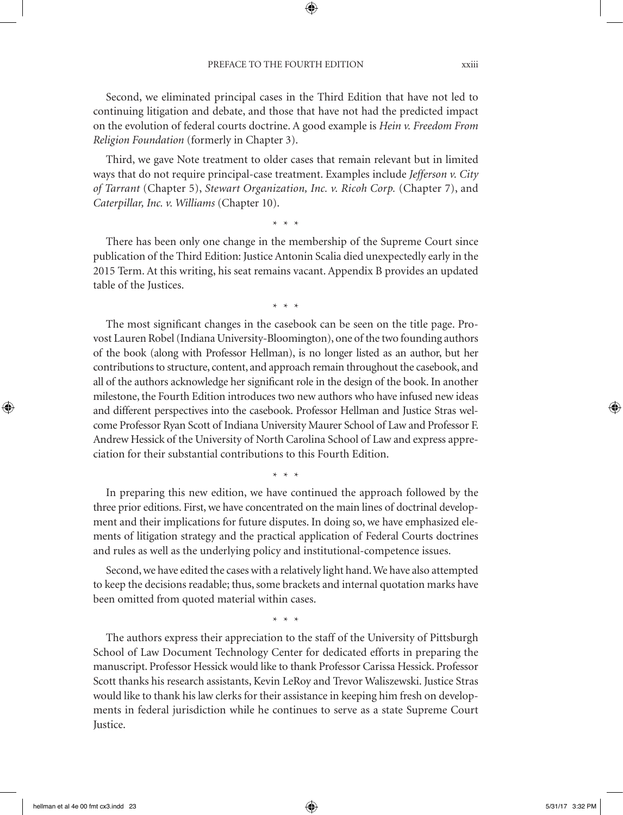Second, we eliminated principal cases in the Third Edition that have not led to continuing litigation and debate, and those that have not had the predicted impact on the evolution of federal courts doctrine. A good example is *Hein v. Freedom From Religion Foundation* (formerly in Chapter 3).

Third, we gave Note treatment to older cases that remain relevant but in limited ways that do not require principal-case treatment. Examples include *Jefferson v. City of Tarrant* (Chapter 5), *Stewart Organization, Inc. v. Ricoh Corp.* (Chapter 7), and *Caterpillar, Inc. v. Williams* (Chapter 10).

\* \* \*

There has been only one change in the membership of the Supreme Court since publication of the Third Edition: Justice Antonin Scalia died unexpectedly early in the 2015 Term. At this writing, his seat remains vacant. Appendix B provides an updated table of the Justices.

\* \* \*

The most significant changes in the casebook can be seen on the title page. Provost Lauren Robel (Indiana University-Bloomington), one of the two founding authors of the book (along with Professor Hellman), is no longer listed as an author, but her contributions to structure, content, and approach remain throughout the casebook, and all of the authors acknowledge her significant role in the design of the book. In another milestone, the Fourth Edition introduces two new authors who have infused new ideas and different perspectives into the casebook. Professor Hellman and Justice Stras welcome Professor Ryan Scott of Indiana University Maurer School of Law and Professor F. Andrew Hessick of the University of North Carolina School of Law and express appreciation for their substantial contributions to this Fourth Edition.

\* \* \*

In preparing this new edition, we have continued the approach followed by the three prior editions. First, we have concentrated on the main lines of doctrinal development and their implications for future disputes. In doing so, we have emphasized elements of litigation strategy and the practical application of Federal Courts doctrines and rules as well as the underlying policy and institutional-competence issues.

Second, we have edited the cases with a relatively light hand. We have also attempted to keep the decisions readable; thus, some brackets and internal quotation marks have been omitted from quoted material within cases.

\* \* \*

The authors express their appreciation to the staff of the University of Pittsburgh School of Law Document Technology Center for dedicated efforts in preparing the manuscript. Professor Hessick would like to thank Professor Carissa Hessick. Professor Scott thanks his research assistants, Kevin LeRoy and Trevor Waliszewski. Justice Stras would like to thank his law clerks for their assistance in keeping him fresh on developments in federal jurisdiction while he continues to serve as a state Supreme Court Justice.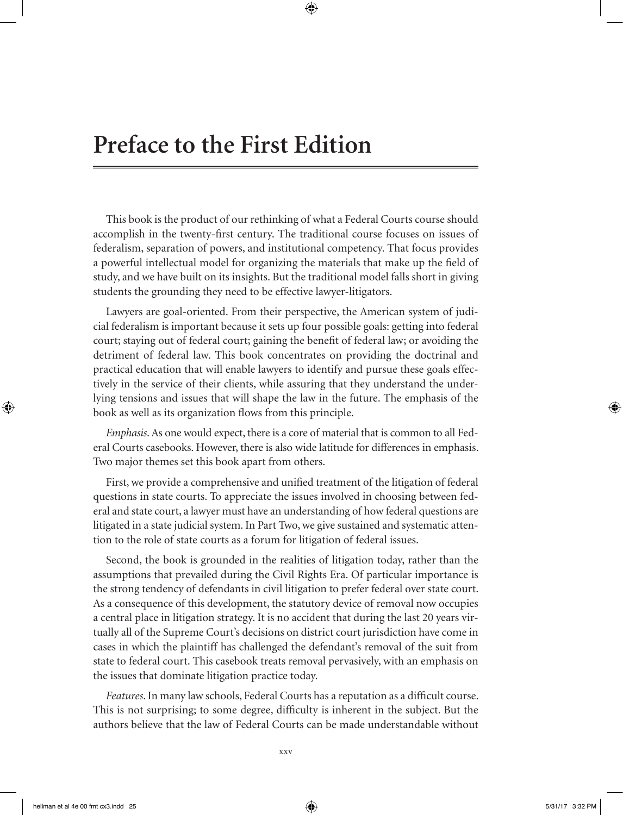This book is the product of our rethinking of what a Federal Courts course should accomplish in the twenty-first century. The traditional course focuses on issues of federalism, separation of powers, and institutional competency. That focus provides a powerful intellectual model for organizing the materials that make up the field of study, and we have built on its insights. But the traditional model falls short in giving students the grounding they need to be effective lawyer-litigators.

Lawyers are goal-oriented. From their perspective, the American system of judicial federalism is important because it sets up four possible goals: getting into federal court; staying out of federal court; gaining the benefit of federal law; or avoiding the detriment of federal law. This book concentrates on providing the doctrinal and practical education that will enable lawyers to identify and pursue these goals effectively in the service of their clients, while assuring that they understand the underlying tensions and issues that will shape the law in the future. The emphasis of the book as well as its organization flows from this principle.

*Emphasis*. As one would expect, there is a core of material that is common to all Federal Courts casebooks. However, there is also wide latitude for differences in emphasis. Two major themes set this book apart from others.

First, we provide a comprehensive and unified treatment of the litigation of federal questions in state courts. To appreciate the issues involved in choosing between federal and state court, a lawyer must have an understanding of how federal questions are litigated in a state judicial system. In Part Two, we give sustained and systematic attention to the role of state courts as a forum for litigation of federal issues.

Second, the book is grounded in the realities of litigation today, rather than the assumptions that prevailed during the Civil Rights Era. Of particular importance is the strong tendency of defendants in civil litigation to prefer federal over state court. As a consequence of this development, the statutory device of removal now occupies a central place in litigation strategy. It is no accident that during the last 20 years virtually all of the Supreme Court's decisions on district court jurisdiction have come in cases in which the plaintiff has challenged the defendant's removal of the suit from state to federal court. This casebook treats removal pervasively, with an emphasis on the issues that dominate litigation practice today.

*Features*. In many law schools, Federal Courts has a reputation as a difficult course. This is not surprising; to some degree, difficulty is inherent in the subject. But the authors believe that the law of Federal Courts can be made understandable without